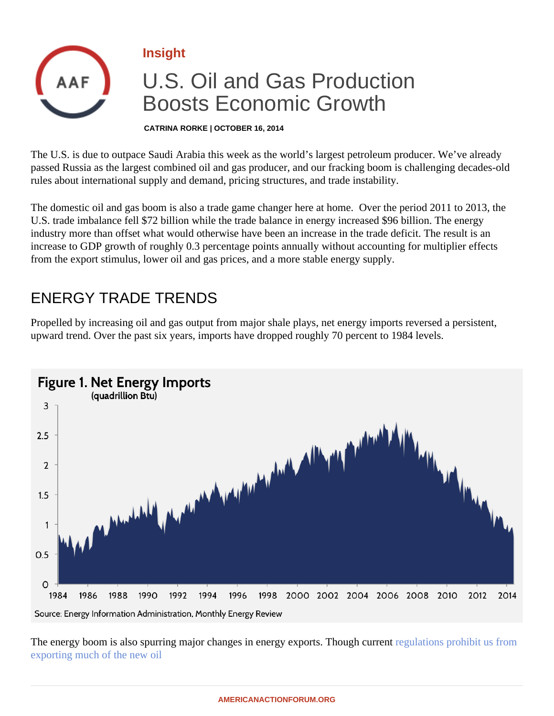Insight

## U.S. Oil and Gas Production Boosts Economic Growth

CATRINA RORKE | OCTOBER 16, 2014

The U.S. is due to outpace Saudi Arabia this week as the world's largest petroleum producer. We've already passed Russia as the largest combined oil and gas producer, and our fracking boom is challenging decadesrules about international supply and demand, pricing structures, and trade instability.

The domestic oil and gas boom is also a trade game changer here at home. Over the period 2011 to 2013, the U.S. trade imbalance fell \$72 billion while the trade balance in energy increased \$96 billion. The energy industry more than offset what would otherwise have been an increase in the trade deficit. The result is an increase to GDP growth of roughly 0.3 percentage points annually without accounting for multiplier effects from the export stimulus, lower oil and gas prices, and a more stable energy supply.

## ENERGY TRADE TRENDS

Propelled by increasing oil and gas output from major shale plays, net energy imports reversed a persistent, upward trend. Over the past six years, imports have dropped roughly 70 percent to 1984 levels.

The energy boom is also spurring major changes in energy exports. Though regulations prohibit us from [exporting much of the new o](�� h t t p s : / / w w w . b u z z f e e d . c o m / a m e r i c a n a c t i o n f o r u m / a - b e t t e r - w a y - o n - c r u d e - o i l - e x p o r t s - f h a l)il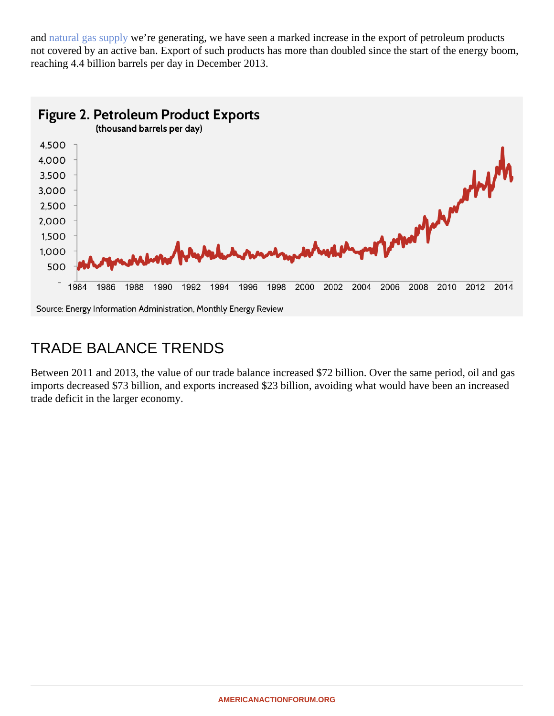an[d natural gas supp](�� h t t p s : / / w w w . b u z z f e e d . c o m / a m e r i c a n a c t i o n f o r u m / a - b e t t e r - w a y - o n - n a t u r a l - g a s - e x p o r t s - f h a l)lye're generating, we have seen a marked increase in the export of petroleum products not covered by an active ban. Export of such products has more than doubled since the start of the energy boom. reaching 4.4 billion barrels per day in December 2013.

## TRADE BALANCE TRENDS

Between 2011 and 2013, the value of our trade balance increased \$72 billion. Over the same period, oil and gas imports decreased \$73 billion, and exports increased \$23 billion, avoiding what would have been an increase trade deficit in the larger economy.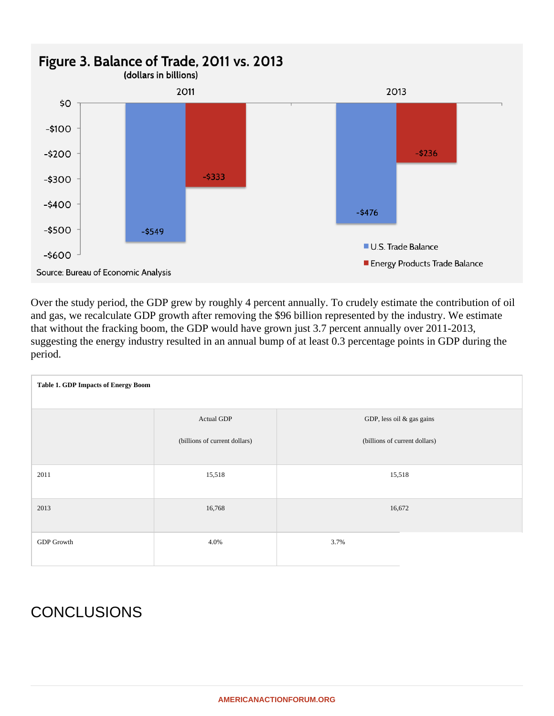

Over the study period, the GDP grew by roughly 4 percent annually. To crudely estimate the contribution of oil and gas, we recalculate GDP growth after removing the \$96 billion represented by the industry. We estimate that without the fracking boom, the GDP would have grown just 3.7 percent annually over 2011-2013, suggesting the energy industry resulted in an annual bump of at least 0.3 percentage points in GDP during the period.

| <b>Table 1. GDP Impacts of Energy Boom</b> |                               |                               |
|--------------------------------------------|-------------------------------|-------------------------------|
|                                            | Actual GDP                    | GDP, less oil & gas gains     |
|                                            | (billions of current dollars) | (billions of current dollars) |
| 2011                                       | 15,518                        | 15,518                        |
| 2013                                       | 16,768                        | 16,672                        |
| <b>GDP</b> Growth                          | 4.0%                          | 3.7%                          |

## **CONCLUSIONS**